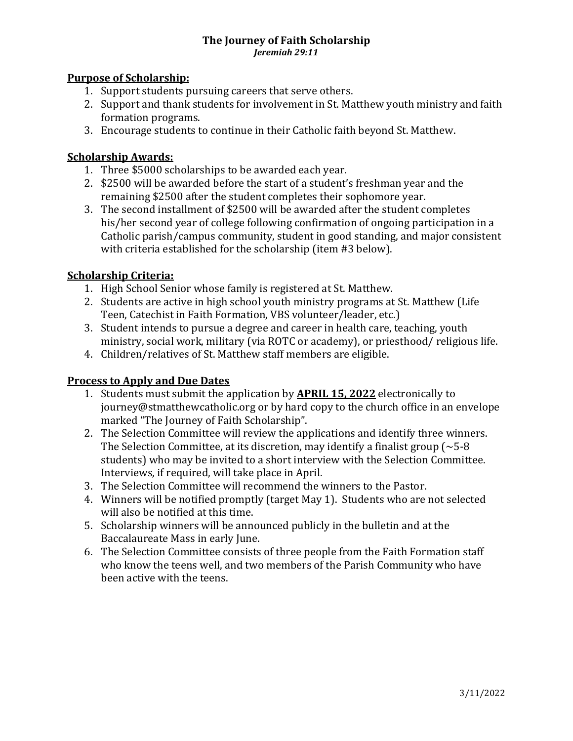#### **The Journey of Faith Scholarship** *Jeremiah 29:11*

#### **Purpose of Scholarship:**

- 1. Support students pursuing careers that serve others.
- 2. Support and thank students for involvement in St. Matthew youth ministry and faith formation programs.
- 3. Encourage students to continue in their Catholic faith beyond St. Matthew.

### **Scholarship Awards:**

- 1. Three \$5000 scholarships to be awarded each year.
- 2. \$2500 will be awarded before the start of a student's freshman year and the remaining \$2500 after the student completes their sophomore year.
- 3. The second installment of \$2500 will be awarded after the student completes his/her second year of college following confirmation of ongoing participation in a Catholic parish/campus community, student in good standing, and major consistent with criteria established for the scholarship (item #3 below).

## **Scholarship Criteria:**

- 1. High School Senior whose family is registered at St. Matthew.
- 2. Students are active in high school youth ministry programs at St. Matthew (Life Teen, Catechist in Faith Formation, VBS volunteer/leader, etc.)
- 3. Student intends to pursue a degree and career in health care, teaching, youth ministry, social work, military (via ROTC or academy), or priesthood/ religious life.
- 4. Children/relatives of St. Matthew staff members are eligible.

# **Process to Apply and Due Dates**

- 1. Students must submit the application by **APRIL 15, 2022** electronically to journey@stmatthewcatholic.org or by hard copy to the church office in an envelope marked "The Journey of Faith Scholarship".
- 2. The Selection Committee will review the applications and identify three winners. The Selection Committee, at its discretion, may identify a finalist group ( $\sim$  5-8 students) who may be invited to a short interview with the Selection Committee. Interviews, if required, will take place in April.
- 3. The Selection Committee will recommend the winners to the Pastor.
- 4. Winners will be notified promptly (target May 1). Students who are not selected will also be notified at this time.
- 5. Scholarship winners will be announced publicly in the bulletin and at the Baccalaureate Mass in early June.
- 6. The Selection Committee consists of three people from the Faith Formation staff who know the teens well, and two members of the Parish Community who have been active with the teens.